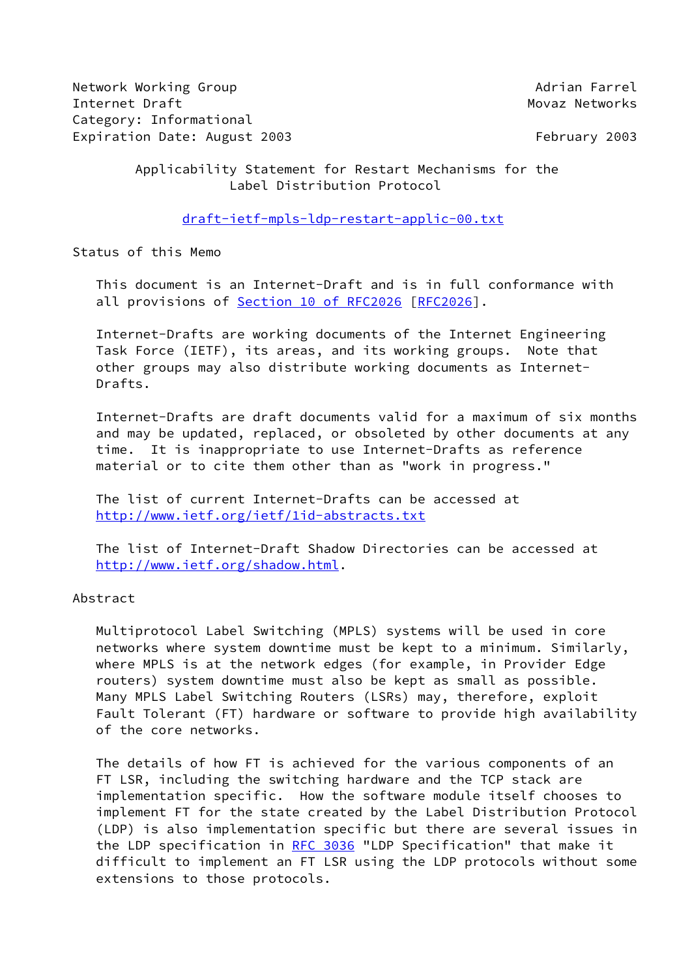Network Working Group **Adrian Farrel** Internet Draft Movaz Networks Category: Informational Expiration Date: August 2003 **February 2003** February 2003

## Applicability Statement for Restart Mechanisms for the Label Distribution Protocol

[draft-ietf-mpls-ldp-restart-applic-00.txt](https://datatracker.ietf.org/doc/pdf/draft-ietf-mpls-ldp-restart-applic-00.txt)

Status of this Memo

 This document is an Internet-Draft and is in full conformance with all provisions of Section [10 of RFC2026](https://datatracker.ietf.org/doc/pdf/rfc2026#section-10) [\[RFC2026](https://datatracker.ietf.org/doc/pdf/rfc2026)].

 Internet-Drafts are working documents of the Internet Engineering Task Force (IETF), its areas, and its working groups. Note that other groups may also distribute working documents as Internet- Drafts.

 Internet-Drafts are draft documents valid for a maximum of six months and may be updated, replaced, or obsoleted by other documents at any time. It is inappropriate to use Internet-Drafts as reference material or to cite them other than as "work in progress."

 The list of current Internet-Drafts can be accessed at <http://www.ietf.org/ietf/1id-abstracts.txt>

 The list of Internet-Draft Shadow Directories can be accessed at <http://www.ietf.org/shadow.html>.

Abstract

 Multiprotocol Label Switching (MPLS) systems will be used in core networks where system downtime must be kept to a minimum. Similarly, where MPLS is at the network edges (for example, in Provider Edge routers) system downtime must also be kept as small as possible. Many MPLS Label Switching Routers (LSRs) may, therefore, exploit Fault Tolerant (FT) hardware or software to provide high availability of the core networks.

 The details of how FT is achieved for the various components of an FT LSR, including the switching hardware and the TCP stack are implementation specific. How the software module itself chooses to implement FT for the state created by the Label Distribution Protocol (LDP) is also implementation specific but there are several issues in the LDP specification in [RFC 3036](https://datatracker.ietf.org/doc/pdf/rfc3036) "LDP Specification" that make it difficult to implement an FT LSR using the LDP protocols without some extensions to those protocols.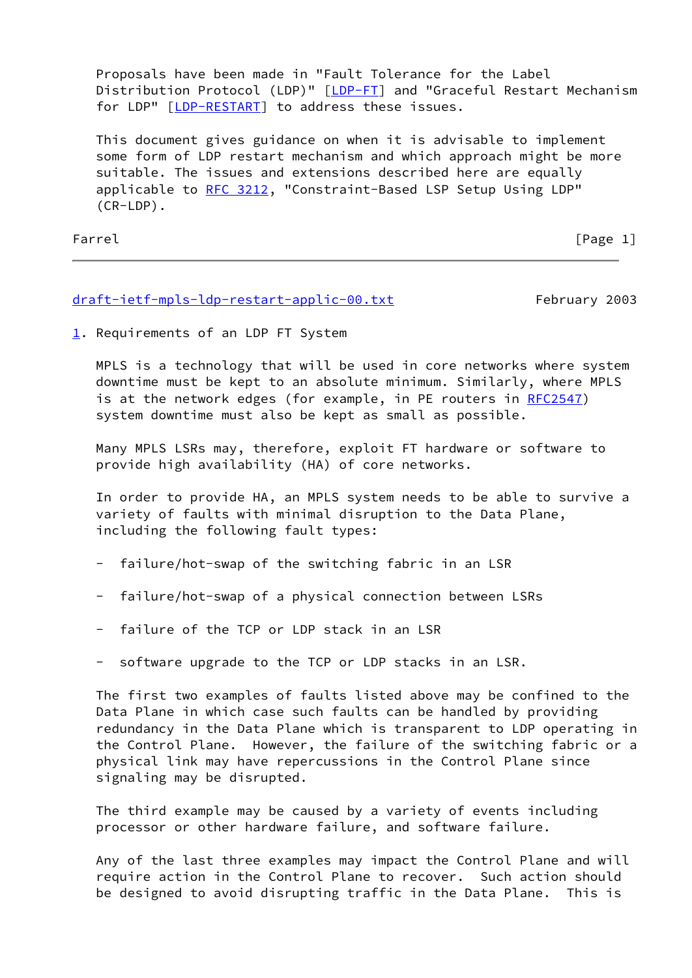Proposals have been made in "Fault Tolerance for the Label Distribution Protocol (LDP)" [\[LDP-FT](#page-6-0)] and "Graceful Restart Mechanism for LDP" [\[LDP-RESTART](#page-6-1)] to address these issues.

 This document gives guidance on when it is advisable to implement some form of LDP restart mechanism and which approach might be more suitable. The issues and extensions described here are equally applicable to [RFC 3212](https://datatracker.ietf.org/doc/pdf/rfc3212), "Constraint-Based LSP Setup Using LDP" (CR-LDP).

Farrel [Page 1]

#### [draft-ietf-mpls-ldp-restart-applic-00.txt](https://datatracker.ietf.org/doc/pdf/draft-ietf-mpls-ldp-restart-applic-00.txt) February 2003

<span id="page-1-0"></span>[1](#page-1-0). Requirements of an LDP FT System

 MPLS is a technology that will be used in core networks where system downtime must be kept to an absolute minimum. Similarly, where MPLS is at the network edges (for example, in PE routers in [RFC2547](https://datatracker.ietf.org/doc/pdf/rfc2547)) system downtime must also be kept as small as possible.

 Many MPLS LSRs may, therefore, exploit FT hardware or software to provide high availability (HA) of core networks.

 In order to provide HA, an MPLS system needs to be able to survive a variety of faults with minimal disruption to the Data Plane, including the following fault types:

- failure/hot-swap of the switching fabric in an LSR
- failure/hot-swap of a physical connection between LSRs
- failure of the TCP or LDP stack in an LSR
- software upgrade to the TCP or LDP stacks in an LSR.

 The first two examples of faults listed above may be confined to the Data Plane in which case such faults can be handled by providing redundancy in the Data Plane which is transparent to LDP operating in the Control Plane. However, the failure of the switching fabric or a physical link may have repercussions in the Control Plane since signaling may be disrupted.

 The third example may be caused by a variety of events including processor or other hardware failure, and software failure.

 Any of the last three examples may impact the Control Plane and will require action in the Control Plane to recover. Such action should be designed to avoid disrupting traffic in the Data Plane. This is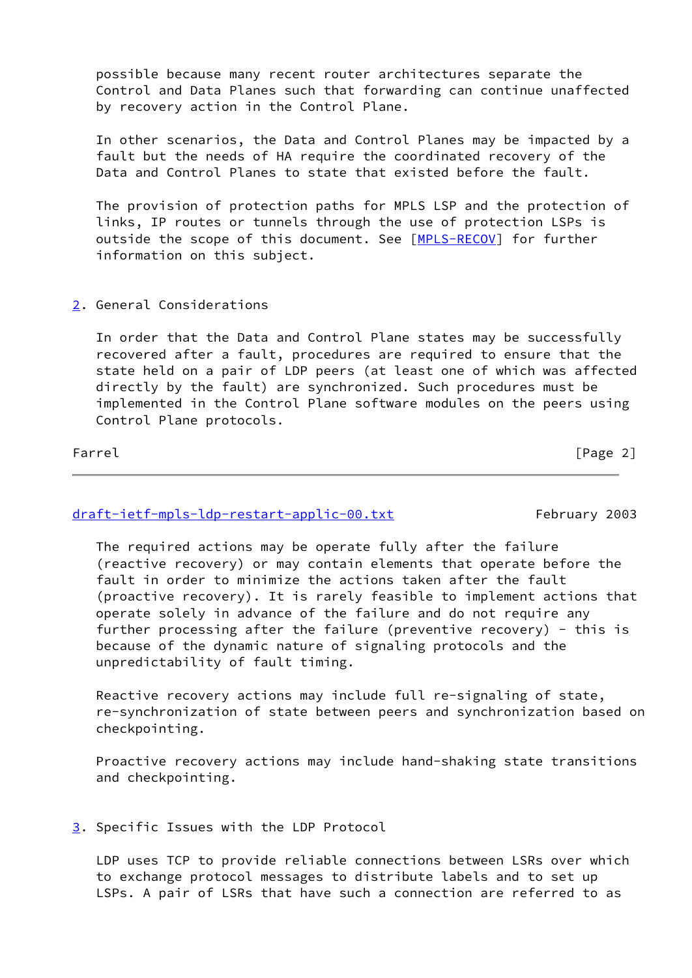possible because many recent router architectures separate the Control and Data Planes such that forwarding can continue unaffected by recovery action in the Control Plane.

 In other scenarios, the Data and Control Planes may be impacted by a fault but the needs of HA require the coordinated recovery of the Data and Control Planes to state that existed before the fault.

 The provision of protection paths for MPLS LSP and the protection of links, IP routes or tunnels through the use of protection LSPs is outside the scope of this document. See [\[MPLS-RECOV\]](#page-16-0) for further information on this subject.

### <span id="page-2-0"></span>[2](#page-2-0). General Considerations

 In order that the Data and Control Plane states may be successfully recovered after a fault, procedures are required to ensure that the state held on a pair of LDP peers (at least one of which was affected directly by the fault) are synchronized. Such procedures must be implemented in the Control Plane software modules on the peers using Control Plane protocols.

Farrel [Page 2]

### [draft-ietf-mpls-ldp-restart-applic-00.txt](https://datatracker.ietf.org/doc/pdf/draft-ietf-mpls-ldp-restart-applic-00.txt) February 2003

 The required actions may be operate fully after the failure (reactive recovery) or may contain elements that operate before the fault in order to minimize the actions taken after the fault (proactive recovery). It is rarely feasible to implement actions that operate solely in advance of the failure and do not require any further processing after the failure (preventive recovery) - this is because of the dynamic nature of signaling protocols and the unpredictability of fault timing.

 Reactive recovery actions may include full re-signaling of state, re-synchronization of state between peers and synchronization based on checkpointing.

 Proactive recovery actions may include hand-shaking state transitions and checkpointing.

### <span id="page-2-1"></span>[3](#page-2-1). Specific Issues with the LDP Protocol

 LDP uses TCP to provide reliable connections between LSRs over which to exchange protocol messages to distribute labels and to set up LSPs. A pair of LSRs that have such a connection are referred to as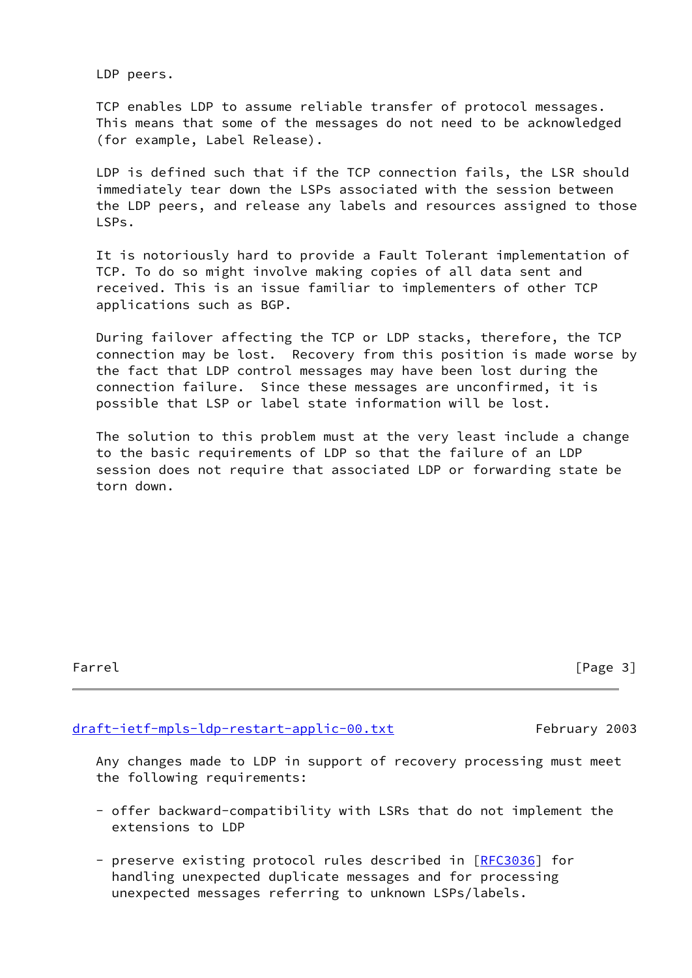LDP peers.

 TCP enables LDP to assume reliable transfer of protocol messages. This means that some of the messages do not need to be acknowledged (for example, Label Release).

 LDP is defined such that if the TCP connection fails, the LSR should immediately tear down the LSPs associated with the session between the LDP peers, and release any labels and resources assigned to those LSPs.

 It is notoriously hard to provide a Fault Tolerant implementation of TCP. To do so might involve making copies of all data sent and received. This is an issue familiar to implementers of other TCP applications such as BGP.

 During failover affecting the TCP or LDP stacks, therefore, the TCP connection may be lost. Recovery from this position is made worse by the fact that LDP control messages may have been lost during the connection failure. Since these messages are unconfirmed, it is possible that LSP or label state information will be lost.

 The solution to this problem must at the very least include a change to the basic requirements of LDP so that the failure of an LDP session does not require that associated LDP or forwarding state be torn down.

Farrel [Page 3]

### [draft-ietf-mpls-ldp-restart-applic-00.txt](https://datatracker.ietf.org/doc/pdf/draft-ietf-mpls-ldp-restart-applic-00.txt) February 2003

 Any changes made to LDP in support of recovery processing must meet the following requirements:

- offer backward-compatibility with LSRs that do not implement the extensions to LDP
- preserve existing protocol rules described in [\[RFC3036](https://datatracker.ietf.org/doc/pdf/rfc3036)] for handling unexpected duplicate messages and for processing unexpected messages referring to unknown LSPs/labels.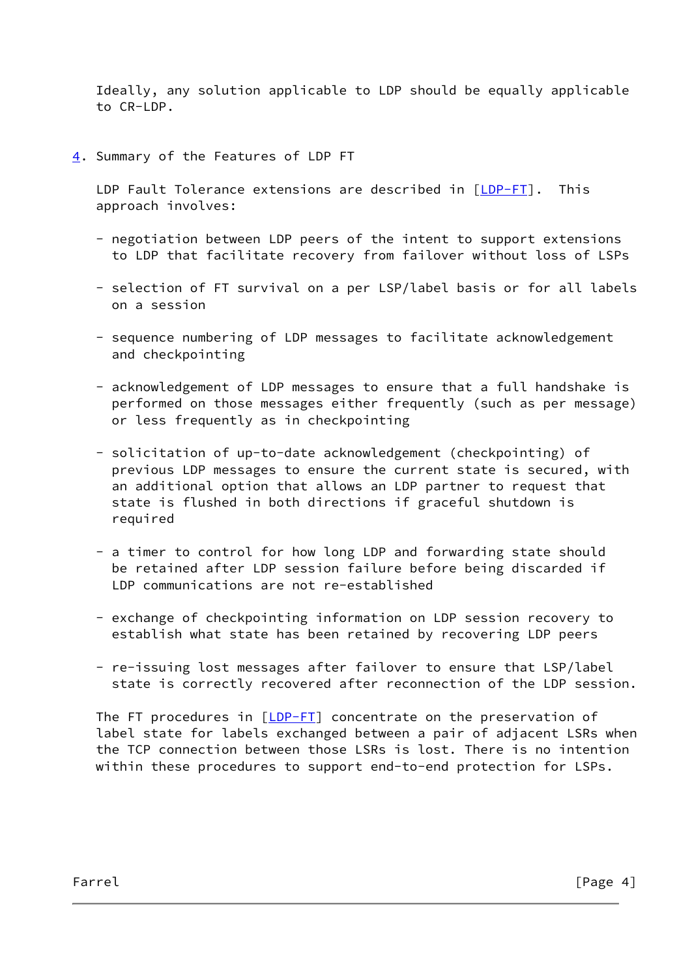Ideally, any solution applicable to LDP should be equally applicable to CR-LDP.

<span id="page-4-0"></span>[4](#page-4-0). Summary of the Features of LDP FT

 LDP Fault Tolerance extensions are described in [\[LDP-FT](#page-6-0)]. This approach involves:

- negotiation between LDP peers of the intent to support extensions to LDP that facilitate recovery from failover without loss of LSPs
- selection of FT survival on a per LSP/label basis or for all labels on a session
- sequence numbering of LDP messages to facilitate acknowledgement and checkpointing
- acknowledgement of LDP messages to ensure that a full handshake is performed on those messages either frequently (such as per message) or less frequently as in checkpointing
- solicitation of up-to-date acknowledgement (checkpointing) of previous LDP messages to ensure the current state is secured, with an additional option that allows an LDP partner to request that state is flushed in both directions if graceful shutdown is required
- a timer to control for how long LDP and forwarding state should be retained after LDP session failure before being discarded if LDP communications are not re-established
- exchange of checkpointing information on LDP session recovery to establish what state has been retained by recovering LDP peers
- re-issuing lost messages after failover to ensure that LSP/label state is correctly recovered after reconnection of the LDP session.

The FT procedures in [\[LDP-FT](#page-6-0)] concentrate on the preservation of label state for labels exchanged between a pair of adjacent LSRs when the TCP connection between those LSRs is lost. There is no intention within these procedures to support end-to-end protection for LSPs.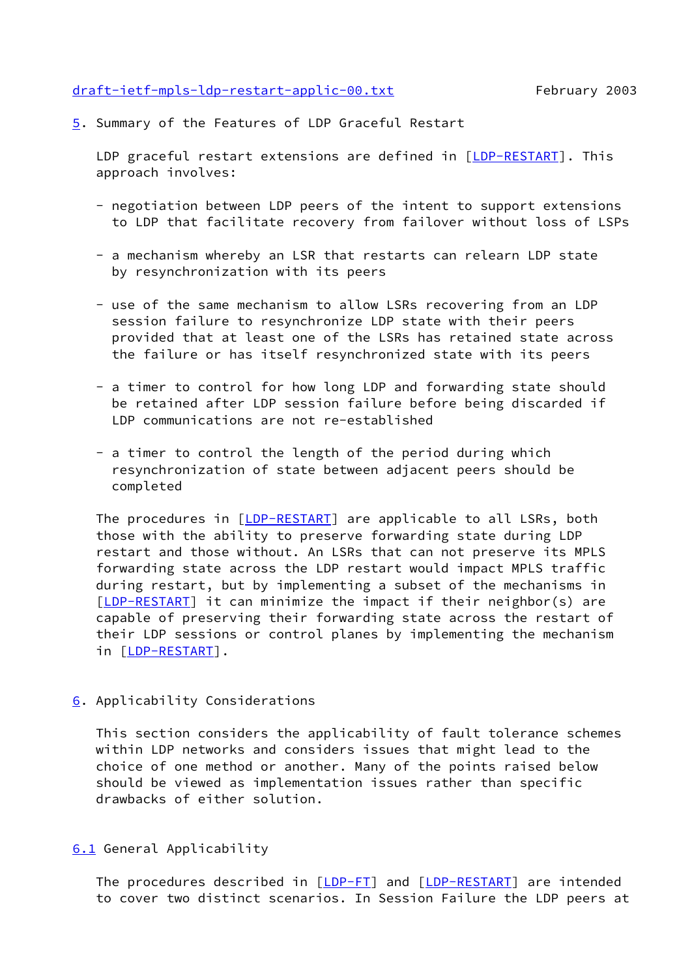#### [draft-ietf-mpls-ldp-restart-applic-00.txt](https://datatracker.ietf.org/doc/pdf/draft-ietf-mpls-ldp-restart-applic-00.txt) February 2003

<span id="page-5-0"></span>[5](#page-5-0). Summary of the Features of LDP Graceful Restart

LDP graceful restart extensions are defined in [\[LDP-RESTART](#page-6-1)]. This approach involves:

- negotiation between LDP peers of the intent to support extensions to LDP that facilitate recovery from failover without loss of LSPs
- a mechanism whereby an LSR that restarts can relearn LDP state by resynchronization with its peers
- use of the same mechanism to allow LSRs recovering from an LDP session failure to resynchronize LDP state with their peers provided that at least one of the LSRs has retained state across the failure or has itself resynchronized state with its peers
- a timer to control for how long LDP and forwarding state should be retained after LDP session failure before being discarded if LDP communications are not re-established
- a timer to control the length of the period during which resynchronization of state between adjacent peers should be completed

The procedures in [[LDP-RESTART](#page-6-1)] are applicable to all LSRs, both those with the ability to preserve forwarding state during LDP restart and those without. An LSRs that can not preserve its MPLS forwarding state across the LDP restart would impact MPLS traffic during restart, but by implementing a subset of the mechanisms in [\[LDP-RESTART](#page-6-1)] it can minimize the impact if their neighbor(s) are capable of preserving their forwarding state across the restart of their LDP sessions or control planes by implementing the mechanism in [[LDP-RESTART\]](#page-6-1).

<span id="page-5-1"></span>[6](#page-5-1). Applicability Considerations

 This section considers the applicability of fault tolerance schemes within LDP networks and considers issues that might lead to the choice of one method or another. Many of the points raised below should be viewed as implementation issues rather than specific drawbacks of either solution.

## <span id="page-5-2"></span>[6.1](#page-5-2) General Applicability

The procedures described in [\[LDP-FT](#page-6-0)] and [\[LDP-RESTART](#page-6-1)] are intended to cover two distinct scenarios. In Session Failure the LDP peers at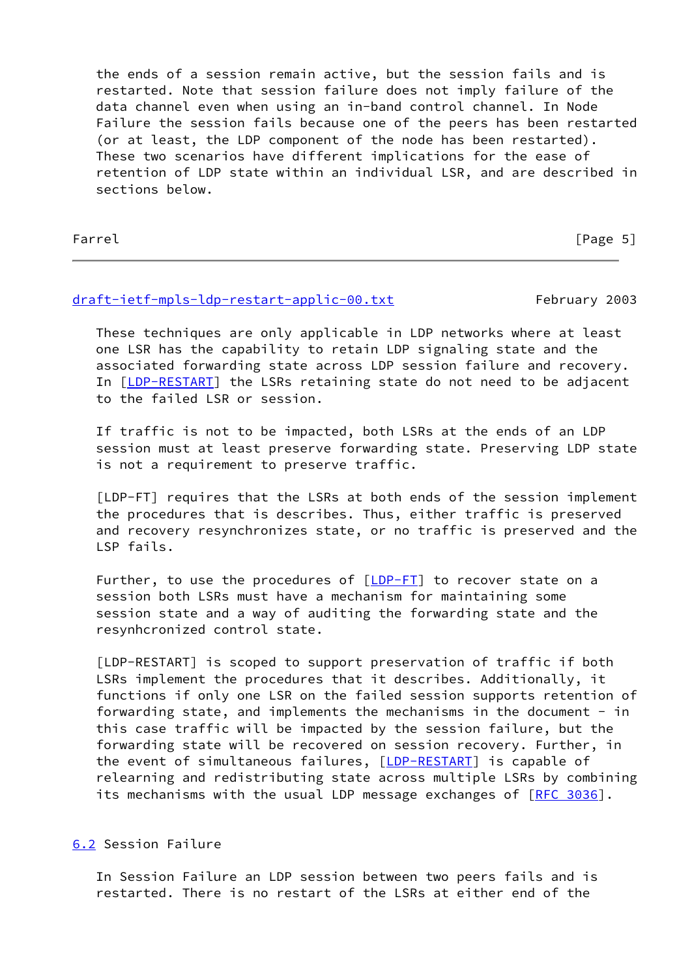the ends of a session remain active, but the session fails and is restarted. Note that session failure does not imply failure of the data channel even when using an in-band control channel. In Node Failure the session fails because one of the peers has been restarted (or at least, the LDP component of the node has been restarted). These two scenarios have different implications for the ease of retention of LDP state within an individual LSR, and are described in sections below.

Farrel [Page 5]

## [draft-ietf-mpls-ldp-restart-applic-00.txt](https://datatracker.ietf.org/doc/pdf/draft-ietf-mpls-ldp-restart-applic-00.txt) February 2003

 These techniques are only applicable in LDP networks where at least one LSR has the capability to retain LDP signaling state and the associated forwarding state across LDP session failure and recovery. In [[LDP-RESTART\]](#page-6-1) the LSRs retaining state do not need to be adjacent to the failed LSR or session.

 If traffic is not to be impacted, both LSRs at the ends of an LDP session must at least preserve forwarding state. Preserving LDP state is not a requirement to preserve traffic.

<span id="page-6-0"></span> [LDP-FT] requires that the LSRs at both ends of the session implement the procedures that is describes. Thus, either traffic is preserved and recovery resynchronizes state, or no traffic is preserved and the LSP fails.

Further, to use the procedures of  $[\underline{LDP-FI}]$  to recover state on a session both LSRs must have a mechanism for maintaining some session state and a way of auditing the forwarding state and the resynhcronized control state.

<span id="page-6-1"></span> [LDP-RESTART] is scoped to support preservation of traffic if both LSRs implement the procedures that it describes. Additionally, it functions if only one LSR on the failed session supports retention of forwarding state, and implements the mechanisms in the document - in this case traffic will be impacted by the session failure, but the forwarding state will be recovered on session recovery. Further, in the event of simultaneous failures, [\[LDP-RESTART](#page-6-1)] is capable of relearning and redistributing state across multiple LSRs by combining its mechanisms with the usual LDP message exchanges of [\[RFC 3036](https://datatracker.ietf.org/doc/pdf/rfc3036)].

<span id="page-6-2"></span>[6.2](#page-6-2) Session Failure

 In Session Failure an LDP session between two peers fails and is restarted. There is no restart of the LSRs at either end of the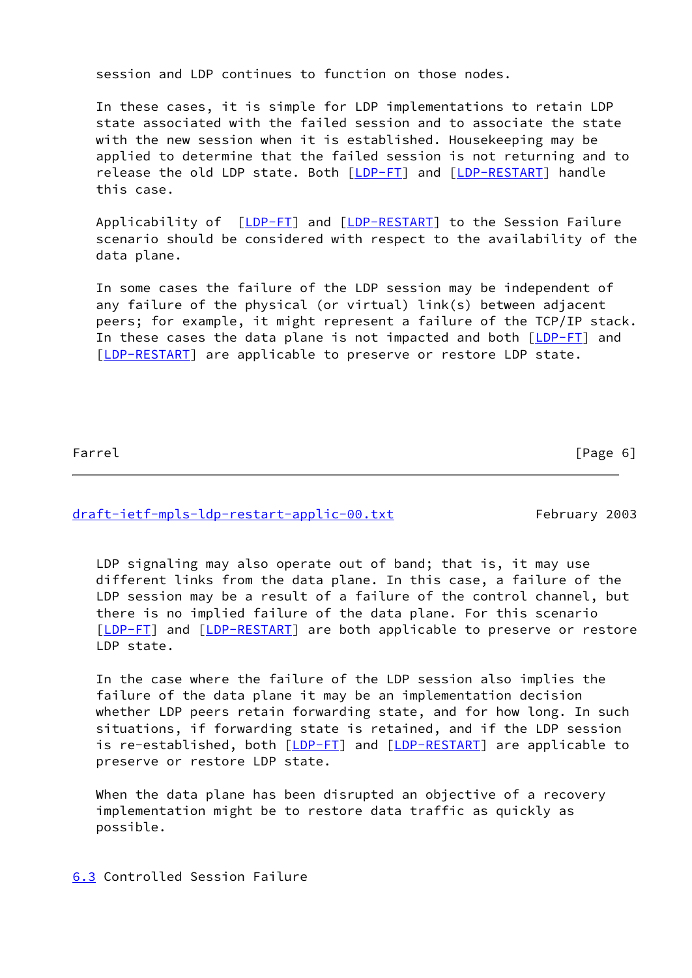session and LDP continues to function on those nodes.

 In these cases, it is simple for LDP implementations to retain LDP state associated with the failed session and to associate the state with the new session when it is established. Housekeeping may be applied to determine that the failed session is not returning and to release the old LDP state. Both [\[LDP-FT](#page-6-0)] and [\[LDP-RESTART](#page-6-1)] handle this case.

Applicability of [[LDP-FT](#page-6-0)] and [\[LDP-RESTART](#page-6-1)] to the Session Failure scenario should be considered with respect to the availability of the data plane.

 In some cases the failure of the LDP session may be independent of any failure of the physical (or virtual) link(s) between adjacent peers; for example, it might represent a failure of the TCP/IP stack. In these cases the data plane is not impacted and both [\[LDP-FT](#page-6-0)] and [\[LDP-RESTART](#page-6-1)] are applicable to preserve or restore LDP state.

Farrel [Page 6]

[draft-ietf-mpls-ldp-restart-applic-00.txt](https://datatracker.ietf.org/doc/pdf/draft-ietf-mpls-ldp-restart-applic-00.txt) February 2003

 LDP signaling may also operate out of band; that is, it may use different links from the data plane. In this case, a failure of the LDP session may be a result of a failure of the control channel, but there is no implied failure of the data plane. For this scenario [\[LDP-FT](#page-6-0)] and [\[LDP-RESTART](#page-6-1)] are both applicable to preserve or restore LDP state.

 In the case where the failure of the LDP session also implies the failure of the data plane it may be an implementation decision whether LDP peers retain forwarding state, and for how long. In such situations, if forwarding state is retained, and if the LDP session is re-established, both [\[LDP-FT](#page-6-0)] and [\[LDP-RESTART](#page-6-1)] are applicable to preserve or restore LDP state.

 When the data plane has been disrupted an objective of a recovery implementation might be to restore data traffic as quickly as possible.

<span id="page-7-0"></span>[6.3](#page-7-0) Controlled Session Failure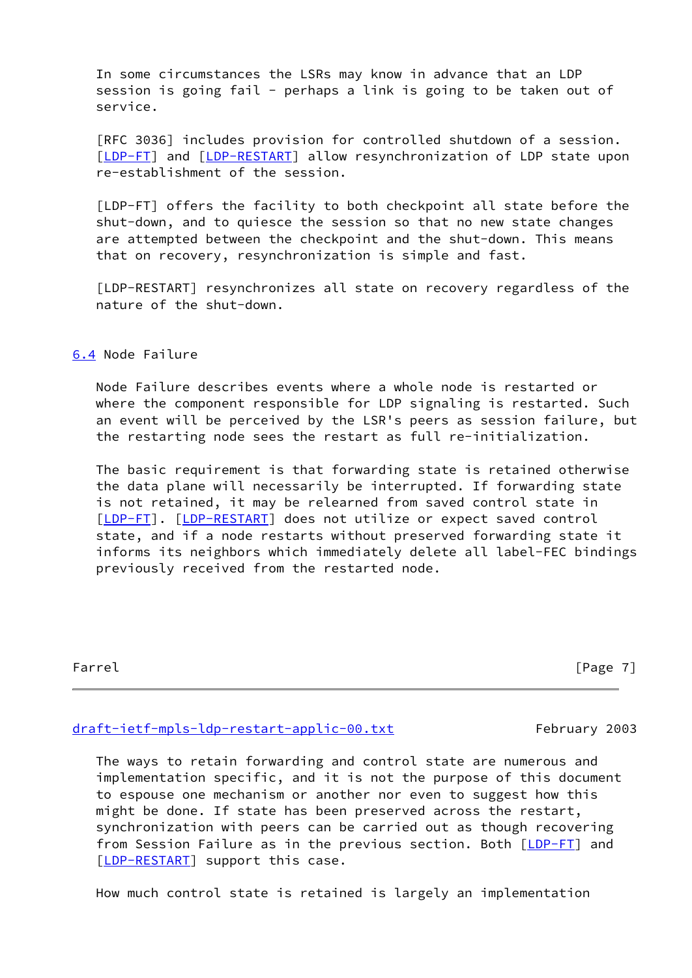In some circumstances the LSRs may know in advance that an LDP session is going fail - perhaps a link is going to be taken out of service.

 [RFC 3036] includes provision for controlled shutdown of a session. [\[LDP-FT](#page-6-0)] and [\[LDP-RESTART](#page-6-1)] allow resynchronization of LDP state upon re-establishment of the session.

 [LDP-FT] offers the facility to both checkpoint all state before the shut-down, and to quiesce the session so that no new state changes are attempted between the checkpoint and the shut-down. This means that on recovery, resynchronization is simple and fast.

 [LDP-RESTART] resynchronizes all state on recovery regardless of the nature of the shut-down.

<span id="page-8-0"></span>[6.4](#page-8-0) Node Failure

 Node Failure describes events where a whole node is restarted or where the component responsible for LDP signaling is restarted. Such an event will be perceived by the LSR's peers as session failure, but the restarting node sees the restart as full re-initialization.

 The basic requirement is that forwarding state is retained otherwise the data plane will necessarily be interrupted. If forwarding state is not retained, it may be relearned from saved control state in [\[LDP-FT](#page-6-0)]. [[LDP-RESTART](#page-6-1)] does not utilize or expect saved control state, and if a node restarts without preserved forwarding state it informs its neighbors which immediately delete all label-FEC bindings previously received from the restarted node.

Farrel [Page 7]

#### [draft-ietf-mpls-ldp-restart-applic-00.txt](https://datatracker.ietf.org/doc/pdf/draft-ietf-mpls-ldp-restart-applic-00.txt) February 2003

 The ways to retain forwarding and control state are numerous and implementation specific, and it is not the purpose of this document to espouse one mechanism or another nor even to suggest how this might be done. If state has been preserved across the restart, synchronization with peers can be carried out as though recovering from Session Failure as in the previous section. Both  $[LDP-FI]$  and [\[LDP-RESTART](#page-6-1)] support this case.

How much control state is retained is largely an implementation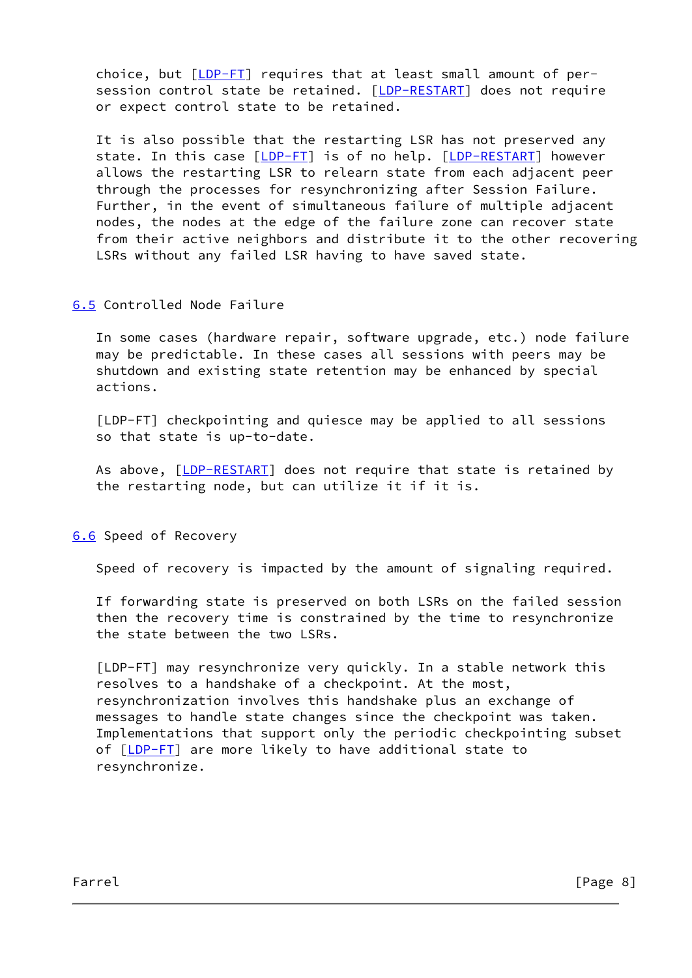choice, but [\[LDP-FT](#page-6-0)] requires that at least small amount of per- session control state be retained. [[LDP-RESTART\]](#page-6-1) does not require or expect control state to be retained.

 It is also possible that the restarting LSR has not preserved any state. In this case [\[LDP-FT](#page-6-0)] is of no help. [\[LDP-RESTART](#page-6-1)] however allows the restarting LSR to relearn state from each adjacent peer through the processes for resynchronizing after Session Failure. Further, in the event of simultaneous failure of multiple adjacent nodes, the nodes at the edge of the failure zone can recover state from their active neighbors and distribute it to the other recovering LSRs without any failed LSR having to have saved state.

## <span id="page-9-0"></span>[6.5](#page-9-0) Controlled Node Failure

 In some cases (hardware repair, software upgrade, etc.) node failure may be predictable. In these cases all sessions with peers may be shutdown and existing state retention may be enhanced by special actions.

 [LDP-FT] checkpointing and quiesce may be applied to all sessions so that state is up-to-date.

As above, [[LDP-RESTART](#page-6-1)] does not require that state is retained by the restarting node, but can utilize it if it is.

<span id="page-9-1"></span>[6.6](#page-9-1) Speed of Recovery

Speed of recovery is impacted by the amount of signaling required.

 If forwarding state is preserved on both LSRs on the failed session then the recovery time is constrained by the time to resynchronize the state between the two LSRs.

 [LDP-FT] may resynchronize very quickly. In a stable network this resolves to a handshake of a checkpoint. At the most, resynchronization involves this handshake plus an exchange of messages to handle state changes since the checkpoint was taken. Implementations that support only the periodic checkpointing subset of [[LDP-FT](#page-6-0)] are more likely to have additional state to resynchronize.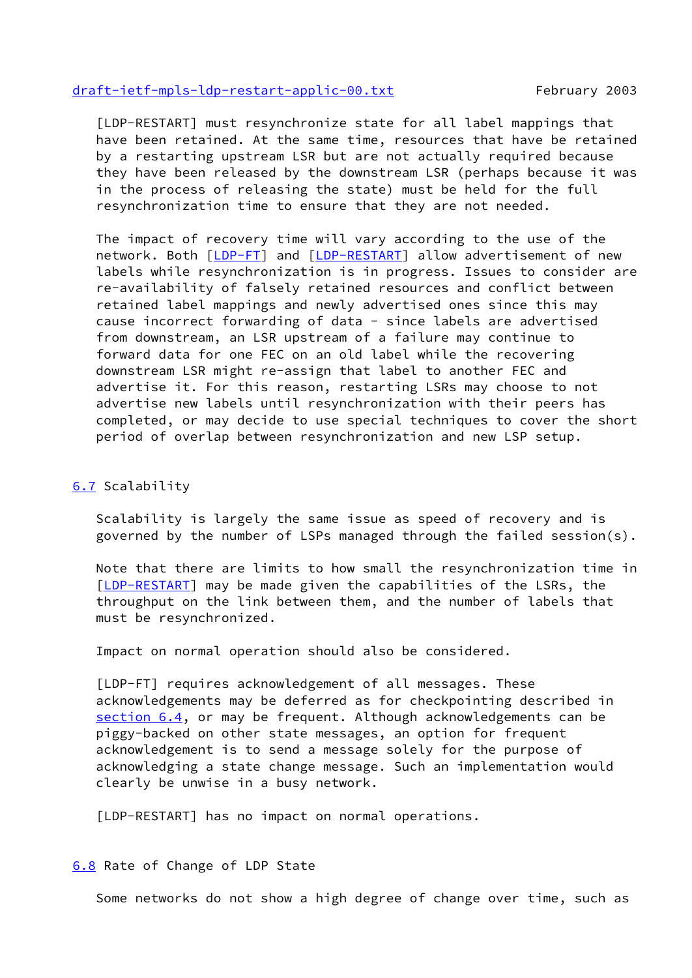#### [draft-ietf-mpls-ldp-restart-applic-00.txt](https://datatracker.ietf.org/doc/pdf/draft-ietf-mpls-ldp-restart-applic-00.txt) February 2003

 [LDP-RESTART] must resynchronize state for all label mappings that have been retained. At the same time, resources that have be retained by a restarting upstream LSR but are not actually required because they have been released by the downstream LSR (perhaps because it was in the process of releasing the state) must be held for the full resynchronization time to ensure that they are not needed.

 The impact of recovery time will vary according to the use of the network. Both [[LDP-FT](#page-6-0)] and [[LDP-RESTART\]](#page-6-1) allow advertisement of new labels while resynchronization is in progress. Issues to consider are re-availability of falsely retained resources and conflict between retained label mappings and newly advertised ones since this may cause incorrect forwarding of data - since labels are advertised from downstream, an LSR upstream of a failure may continue to forward data for one FEC on an old label while the recovering downstream LSR might re-assign that label to another FEC and advertise it. For this reason, restarting LSRs may choose to not advertise new labels until resynchronization with their peers has completed, or may decide to use special techniques to cover the short period of overlap between resynchronization and new LSP setup.

#### <span id="page-10-0"></span>[6.7](#page-10-0) Scalability

 Scalability is largely the same issue as speed of recovery and is governed by the number of LSPs managed through the failed session(s).

 Note that there are limits to how small the resynchronization time in [\[LDP-RESTART](#page-6-1)] may be made given the capabilities of the LSRs, the throughput on the link between them, and the number of labels that must be resynchronized.

Impact on normal operation should also be considered.

 [LDP-FT] requires acknowledgement of all messages. These acknowledgements may be deferred as for checkpointing described in [section 6.4](#page-8-0), or may be frequent. Although acknowledgements can be piggy-backed on other state messages, an option for frequent acknowledgement is to send a message solely for the purpose of acknowledging a state change message. Such an implementation would clearly be unwise in a busy network.

[LDP-RESTART] has no impact on normal operations.

<span id="page-10-1"></span>[6.8](#page-10-1) Rate of Change of LDP State

Some networks do not show a high degree of change over time, such as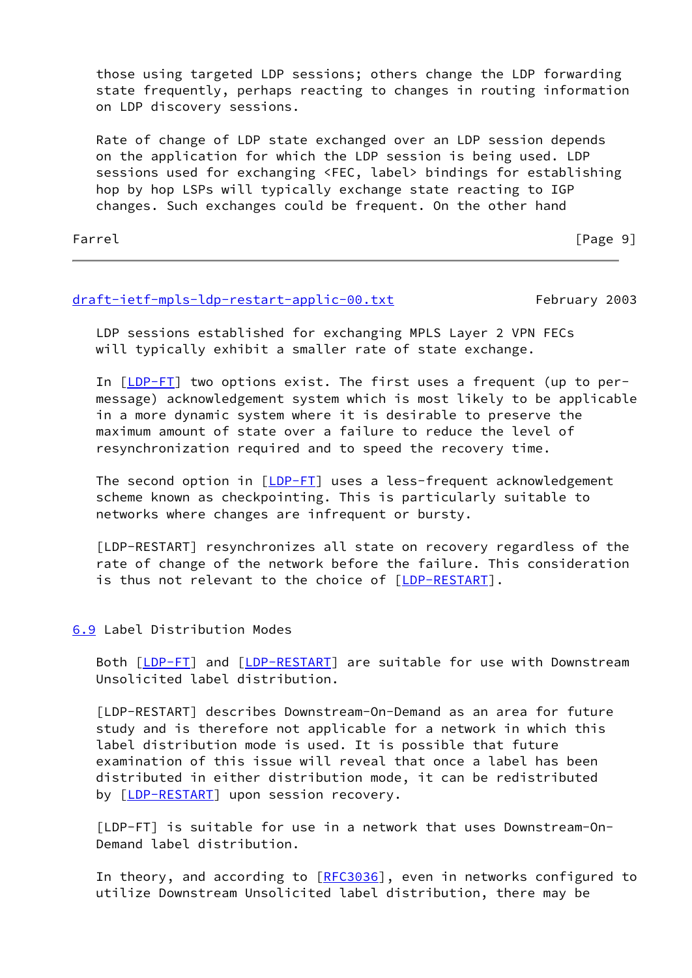those using targeted LDP sessions; others change the LDP forwarding state frequently, perhaps reacting to changes in routing information on LDP discovery sessions.

 Rate of change of LDP state exchanged over an LDP session depends on the application for which the LDP session is being used. LDP sessions used for exchanging <FEC, label> bindings for establishing hop by hop LSPs will typically exchange state reacting to IGP changes. Such exchanges could be frequent. On the other hand

Farrel Farrel **Facture** For the contract of the contract of the contract of the contract of the contract of the contract of the contract of the contract of the contract of the contract of the contract of the contract of th

## [draft-ietf-mpls-ldp-restart-applic-00.txt](https://datatracker.ietf.org/doc/pdf/draft-ietf-mpls-ldp-restart-applic-00.txt) February 2003

 LDP sessions established for exchanging MPLS Layer 2 VPN FECs will typically exhibit a smaller rate of state exchange.

 In [[LDP-FT](#page-6-0)] two options exist. The first uses a frequent (up to per message) acknowledgement system which is most likely to be applicable in a more dynamic system where it is desirable to preserve the maximum amount of state over a failure to reduce the level of resynchronization required and to speed the recovery time.

The second option in [\[LDP-FT](#page-6-0)] uses a less-frequent acknowledgement scheme known as checkpointing. This is particularly suitable to networks where changes are infrequent or bursty.

 [LDP-RESTART] resynchronizes all state on recovery regardless of the rate of change of the network before the failure. This consideration is thus not relevant to the choice of [[LDP-RESTART](#page-6-1)].

### <span id="page-11-0"></span>[6.9](#page-11-0) Label Distribution Modes

 Both [\[LDP-FT](#page-6-0)] and [[LDP-RESTART](#page-6-1)] are suitable for use with Downstream Unsolicited label distribution.

 [LDP-RESTART] describes Downstream-On-Demand as an area for future study and is therefore not applicable for a network in which this label distribution mode is used. It is possible that future examination of this issue will reveal that once a label has been distributed in either distribution mode, it can be redistributed by [[LDP-RESTART\]](#page-6-1) upon session recovery.

 [LDP-FT] is suitable for use in a network that uses Downstream-On- Demand label distribution.

In theory, and according to [\[RFC3036](https://datatracker.ietf.org/doc/pdf/rfc3036)], even in networks configured to utilize Downstream Unsolicited label distribution, there may be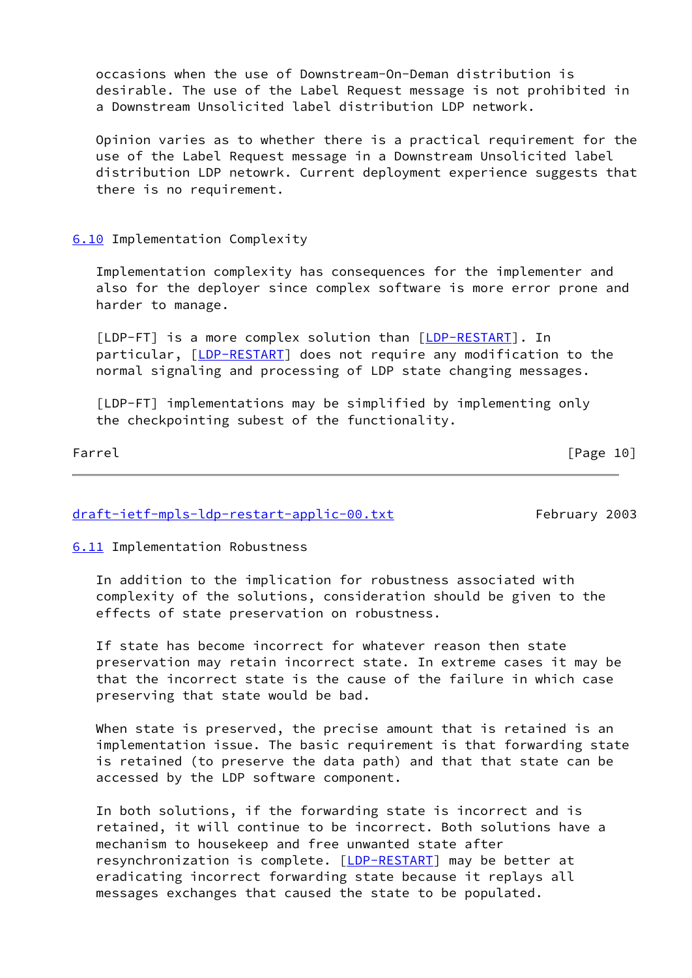occasions when the use of Downstream-On-Deman distribution is desirable. The use of the Label Request message is not prohibited in a Downstream Unsolicited label distribution LDP network.

 Opinion varies as to whether there is a practical requirement for the use of the Label Request message in a Downstream Unsolicited label distribution LDP netowrk. Current deployment experience suggests that there is no requirement.

### <span id="page-12-0"></span>[6.10](#page-12-0) Implementation Complexity

 Implementation complexity has consequences for the implementer and also for the deployer since complex software is more error prone and harder to manage.

 [LDP-FT] is a more complex solution than [\[LDP-RESTART](#page-6-1)]. In particular, [\[LDP-RESTART](#page-6-1)] does not require any modification to the normal signaling and processing of LDP state changing messages.

 [LDP-FT] implementations may be simplified by implementing only the checkpointing subest of the functionality.

Farrel [Page 10]

## [draft-ietf-mpls-ldp-restart-applic-00.txt](https://datatracker.ietf.org/doc/pdf/draft-ietf-mpls-ldp-restart-applic-00.txt) February 2003

<span id="page-12-1"></span>[6.11](#page-12-1) Implementation Robustness

 In addition to the implication for robustness associated with complexity of the solutions, consideration should be given to the effects of state preservation on robustness.

 If state has become incorrect for whatever reason then state preservation may retain incorrect state. In extreme cases it may be that the incorrect state is the cause of the failure in which case preserving that state would be bad.

 When state is preserved, the precise amount that is retained is an implementation issue. The basic requirement is that forwarding state is retained (to preserve the data path) and that that state can be accessed by the LDP software component.

 In both solutions, if the forwarding state is incorrect and is retained, it will continue to be incorrect. Both solutions have a mechanism to housekeep and free unwanted state after resynchronization is complete. [\[LDP-RESTART](#page-6-1)] may be better at eradicating incorrect forwarding state because it replays all messages exchanges that caused the state to be populated.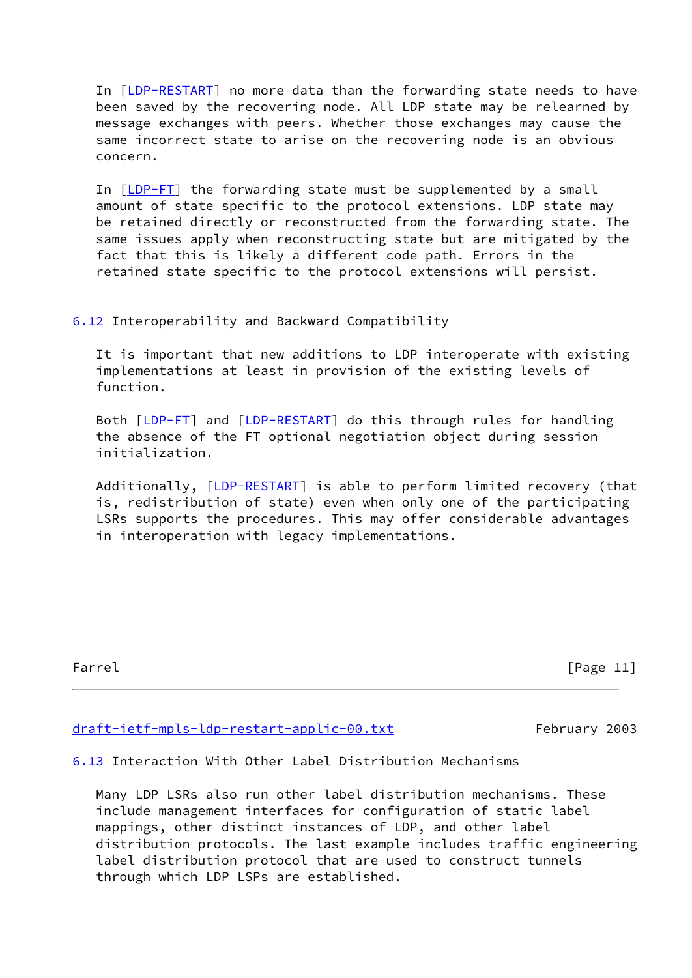In [[LDP-RESTART\]](#page-6-1) no more data than the forwarding state needs to have been saved by the recovering node. All LDP state may be relearned by message exchanges with peers. Whether those exchanges may cause the same incorrect state to arise on the recovering node is an obvious concern.

In [[LDP-FT](#page-6-0)] the forwarding state must be supplemented by a small amount of state specific to the protocol extensions. LDP state may be retained directly or reconstructed from the forwarding state. The same issues apply when reconstructing state but are mitigated by the fact that this is likely a different code path. Errors in the retained state specific to the protocol extensions will persist.

### <span id="page-13-0"></span>[6.12](#page-13-0) Interoperability and Backward Compatibility

 It is important that new additions to LDP interoperate with existing implementations at least in provision of the existing levels of function.

Both [\[LDP-FT](#page-6-0)] and [[LDP-RESTART](#page-6-1)] do this through rules for handling the absence of the FT optional negotiation object during session initialization.

Additionally, [[LDP-RESTART](#page-6-1)] is able to perform limited recovery (that is, redistribution of state) even when only one of the participating LSRs supports the procedures. This may offer considerable advantages in interoperation with legacy implementations.

Farrel [Page 11]

### [draft-ietf-mpls-ldp-restart-applic-00.txt](https://datatracker.ietf.org/doc/pdf/draft-ietf-mpls-ldp-restart-applic-00.txt) February 2003

<span id="page-13-1"></span>[6.13](#page-13-1) Interaction With Other Label Distribution Mechanisms

 Many LDP LSRs also run other label distribution mechanisms. These include management interfaces for configuration of static label mappings, other distinct instances of LDP, and other label distribution protocols. The last example includes traffic engineering label distribution protocol that are used to construct tunnels through which LDP LSPs are established.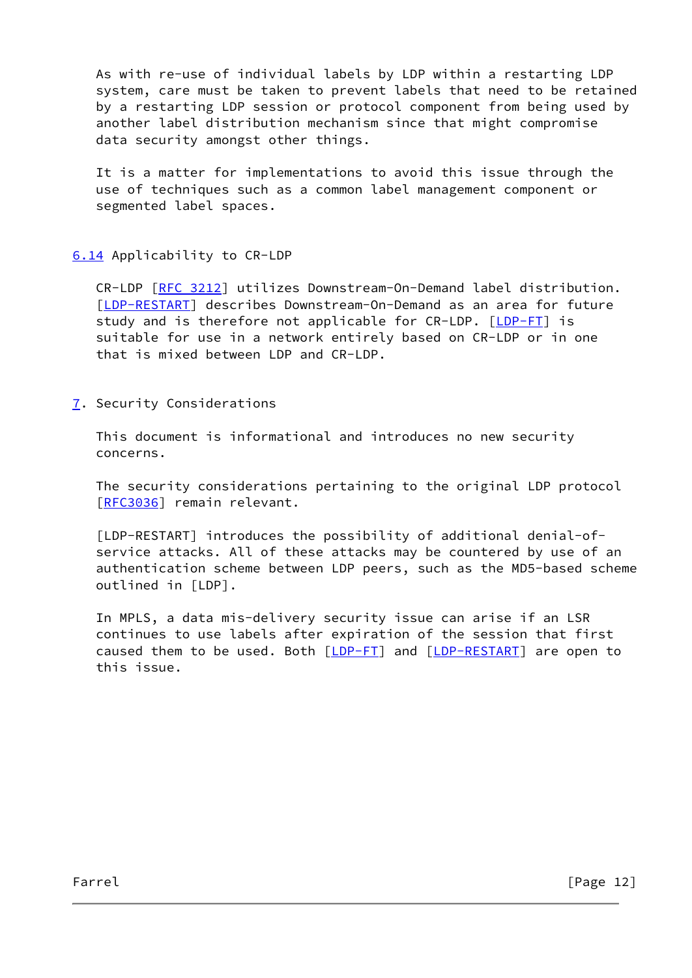As with re-use of individual labels by LDP within a restarting LDP system, care must be taken to prevent labels that need to be retained by a restarting LDP session or protocol component from being used by another label distribution mechanism since that might compromise data security amongst other things.

 It is a matter for implementations to avoid this issue through the use of techniques such as a common label management component or segmented label spaces.

## <span id="page-14-0"></span>[6.14](#page-14-0) Applicability to CR-LDP

 CR-LDP [\[RFC 3212](https://datatracker.ietf.org/doc/pdf/rfc3212)] utilizes Downstream-On-Demand label distribution. [\[LDP-RESTART](#page-6-1)] describes Downstream-On-Demand as an area for future study and is therefore not applicable for CR-LDP. [[LDP-FT](#page-6-0)] is suitable for use in a network entirely based on CR-LDP or in one that is mixed between LDP and CR-LDP.

<span id="page-14-1"></span>[7](#page-14-1). Security Considerations

 This document is informational and introduces no new security concerns.

 The security considerations pertaining to the original LDP protocol [\[RFC3036](https://datatracker.ietf.org/doc/pdf/rfc3036)] remain relevant.

 [LDP-RESTART] introduces the possibility of additional denial-of service attacks. All of these attacks may be countered by use of an authentication scheme between LDP peers, such as the MD5-based scheme outlined in [LDP].

 In MPLS, a data mis-delivery security issue can arise if an LSR continues to use labels after expiration of the session that first caused them to be used. Both [\[LDP-FT](#page-6-0)] and [[LDP-RESTART](#page-6-1)] are open to this issue.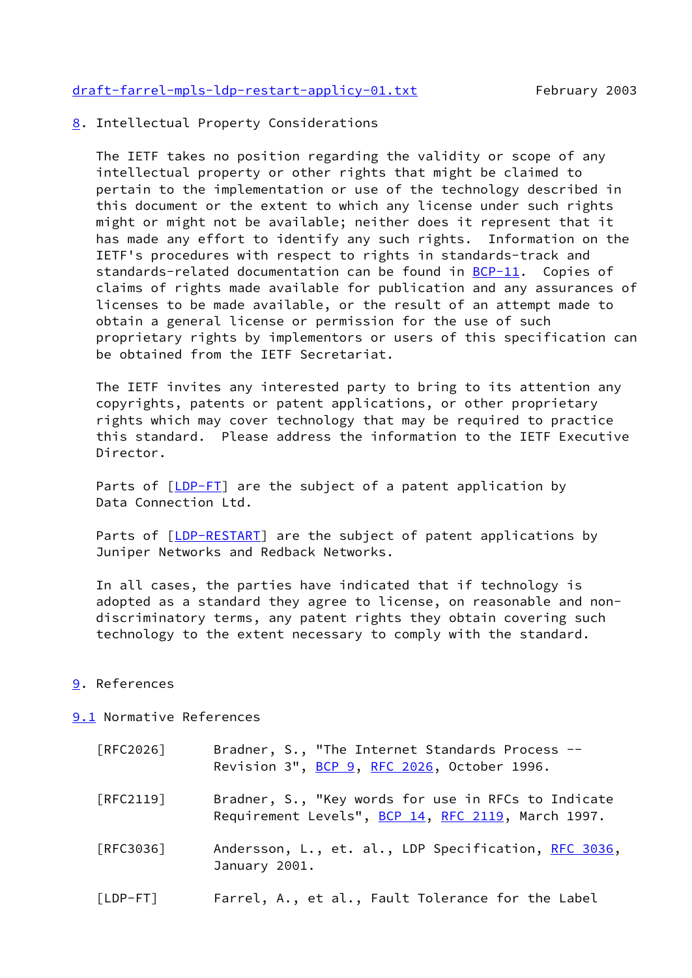[draft-farrel-mpls-ldp-restart-applicy-01.txt](https://datatracker.ietf.org/doc/pdf/draft-farrel-mpls-ldp-restart-applicy-01.txt) February 2003

<span id="page-15-0"></span>[8](#page-15-0). Intellectual Property Considerations

 The IETF takes no position regarding the validity or scope of any intellectual property or other rights that might be claimed to pertain to the implementation or use of the technology described in this document or the extent to which any license under such rights might or might not be available; neither does it represent that it has made any effort to identify any such rights. Information on the IETF's procedures with respect to rights in standards-track and standards-related documentation can be found in [BCP-11](https://datatracker.ietf.org/doc/pdf/bcp11). Copies of claims of rights made available for publication and any assurances of licenses to be made available, or the result of an attempt made to obtain a general license or permission for the use of such proprietary rights by implementors or users of this specification can be obtained from the IETF Secretariat.

 The IETF invites any interested party to bring to its attention any copyrights, patents or patent applications, or other proprietary rights which may cover technology that may be required to practice this standard. Please address the information to the IETF Executive Director.

Parts of [\[LDP-FT](#page-6-0)] are the subject of a patent application by Data Connection Ltd.

Parts of [\[LDP-RESTART](#page-6-1)] are the subject of patent applications by Juniper Networks and Redback Networks.

 In all cases, the parties have indicated that if technology is adopted as a standard they agree to license, on reasonable and non discriminatory terms, any patent rights they obtain covering such technology to the extent necessary to comply with the standard.

### <span id="page-15-1"></span>[9](#page-15-1). References

#### <span id="page-15-2"></span>[9.1](#page-15-2) Normative References

| [RFC2026]                        | Bradner, S., "The Internet Standards Process --<br>Revision 3", BCP 9, RFC 2026, October 1996.            |
|----------------------------------|-----------------------------------------------------------------------------------------------------------|
| $\lceil \mathsf{RFC2119} \rceil$ | Bradner, S., "Key words for use in RFCs to Indicate<br>Requirement Levels", BCP 14, RFC 2119, March 1997. |
| [REC3036]                        | Andersson, L., et. al., LDP Specification, RFC 3036,<br>January 2001.                                     |
| $[LDP-FT]$                       | Farrel, A., et al., Fault Tolerance for the Label                                                         |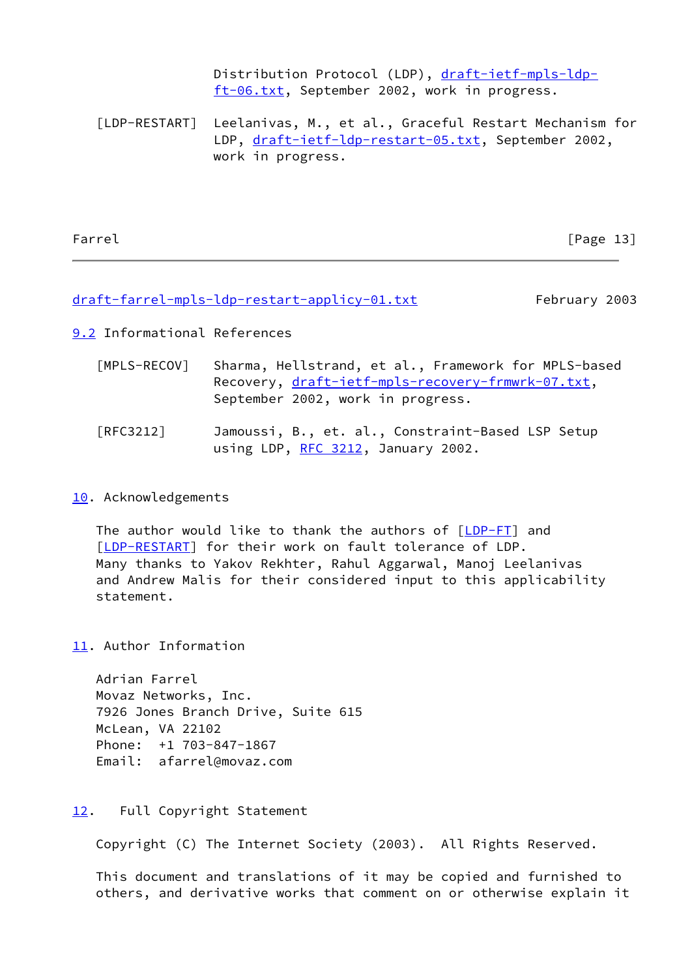Distribution Protocol (LDP), [draft-ietf-mpls-ldp](https://datatracker.ietf.org/doc/pdf/draft-ietf-mpls-ldp-ft-06.txt) [ft-06.txt,](https://datatracker.ietf.org/doc/pdf/draft-ietf-mpls-ldp-ft-06.txt) September 2002, work in progress.

 [LDP-RESTART] Leelanivas, M., et al., Graceful Restart Mechanism for LDP, [draft-ietf-ldp-restart-05.txt,](https://datatracker.ietf.org/doc/pdf/draft-ietf-ldp-restart-05.txt) September 2002, work in progress.

Farrel [Page 13]

#### [draft-farrel-mpls-ldp-restart-applicy-01.txt](https://datatracker.ietf.org/doc/pdf/draft-farrel-mpls-ldp-restart-applicy-01.txt) February 2003

<span id="page-16-1"></span>[9.2](#page-16-1) Informational References

<span id="page-16-0"></span>

| [MPLS-RECOV] | Sharma, Hellstrand, et al., Framework for MPLS-based |
|--------------|------------------------------------------------------|
|              | Recovery, draft-ietf-mpls-recovery-frmwrk-07.txt,    |
|              | September 2002, work in progress.                    |
|              |                                                      |

# [RFC3212] Jamoussi, B., et. al., Constraint-Based LSP Setup using LDP, [RFC 3212](https://datatracker.ietf.org/doc/pdf/rfc3212), January 2002.

### <span id="page-16-2"></span>[10.](#page-16-2) Acknowledgements

 The author would like to thank the authors of [[LDP-FT](#page-6-0)] and [\[LDP-RESTART](#page-6-1)] for their work on fault tolerance of LDP. Many thanks to Yakov Rekhter, Rahul Aggarwal, Manoj Leelanivas and Andrew Malis for their considered input to this applicability statement.

<span id="page-16-3"></span>[11.](#page-16-3) Author Information

 Adrian Farrel Movaz Networks, Inc. 7926 Jones Branch Drive, Suite 615 McLean, VA 22102 Phone: +1 703-847-1867 Email: afarrel@movaz.com

## <span id="page-16-4"></span>[12.](#page-16-4) Full Copyright Statement

Copyright (C) The Internet Society (2003). All Rights Reserved.

 This document and translations of it may be copied and furnished to others, and derivative works that comment on or otherwise explain it